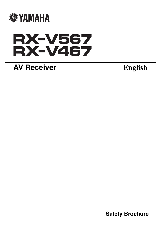



# **AV Receiver English**

**Safety Brochure**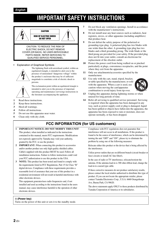# **IMPORTANT SAFETY INSTRUCTIONS**



PARTS INSIDE. REFER SERVICING TO QUALIFIED SERVICE PERSONNEL.

#### • Explanation of Graphical Symbols



The lightning flash with arrowhead symbol, within an equilateral triangle, is intended to alert you to the presence of uninsulated "dangerous voltage" within the product's enclosure that may be of sufficient magnitude to constitute a risk of electric shock to persons.



The exclamation point within an equilateral triangle is intended to alert you to the presence of important operating and maintenance (servicing) instructions in the literature accompanying the appliance.

- **1** Read these instructions.
- **2** Keep these instructions.
- **3** Heed all warnings.
- **4** Follow all instructions.
- **5** Do not use this apparatus near water.
- **6** Clean only with dry cloth.
- **7** Do not block any ventilation openings. Install in accordance with the manufacturer's instructions.
- **8** Do not install near any heat sources such as radiators, heat registers, stoves, or other apparatus (including amplifiers) that produce heat.
- **9** Do not defeat the safety purpose of the polarized or grounding-type plug. A polarized plug has two blades with one wider than the other. A grounding type plug has two blades and a third grounding prong. The wide blade or the third prong are provided for your safety. If the provided plug does not fit into your outlet, consult an electrician for replacement of the obsolete outlet.
- **10** Protect the power cord from being walked on or pinched particularly at plugs, convenience receptacles, and the point where they exit from the apparatus.
- **11** Only use attachments/accessories specified by the manufacturer.
- **12** Use only with the cart, stand, tripod, bracket, or table specified by the manufacturer, or sold with the apparatus. When a cart is used, use caution when moving the cart/apparatus combination to avoid injury from tip-over.



- **13** Unplug this apparatus during lightning storms or when unused for long periods of time.
- **14** Refer all servicing to qualified service personnel. Servicing is required when the apparatus has been damaged in any way, such as power-supply cord or plug is damaged, liquid has been spilled or objects have fallen into the apparatus, the apparatus has been exposed to rain or moisture, does not operate normally, or has been dropped.

## **FCC INFORMATION (for US customers)**

- **1 IMPORTANT NOTICE: DO NOT MODIFY THIS UNIT!** This product, when installed as indicated in the instructions contained in this manual, meets FCC requirements. Modifications not expressly approved by Yamaha may void your authority, granted by the FCC, to use the product.
- **2 IMPORTANT:** When connecting this product to accessories and/or another product use only high quality shielded cables. Cable/s supplied with this product MUST be used. Follow all installation instructions. Failure to follow instructions could void your FCC authorization to use this product in the USA.
- **3 NOTE:** This product has been tested and found to comply with the requirements listed in FCC Regulations, Part 15 for Class "B" digital devices. Compliance with these requirements provides a reasonable level of assurance that your use of this product in a residential environment will not result in harmful interference with other electronic devices.

This equipment generates/uses radio frequencies and, if not installed and used according to the instructions found in the users manual, may cause interference harmful to the operation of other electronic devices.

Compliance with FCC regulations does not guarantee that interference will not occur in all installations. If this product is found to be the source of interference, which can be determined by turning the unit "OFF" and "ON", please try to eliminate the problem by using one of the following measures:

Relocate either this product or the device that is being affected by the interference.

Utilize power outlets that are on different branch (circuit breaker or fuse) circuits or install AC line filter/s.

In the case of radio or TV interference, relocate/reorient the antenna. If the antenna lead-in is 300 ohm ribbon lead, change the lead-in to coaxial type cable.

If these corrective measures do not produce satisfactory results, please contact the local retailer authorized to distribute this type of product. If you can not locate the appropriate retailer, please contact Yamaha Electronics Corp., U.S.A. 6660 Orangethorpe Ave, Buena Park, CA 90620.

The above statements apply ONLY to those products distributed by Yamaha Corporation of America or its subsidiaries.

#### A **(Power key)**

Turns on the power of this unit or sets it to the standby mode.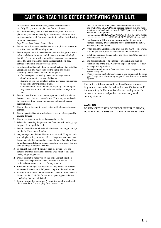# **CAUTION: READ THIS BEFORE OPERATING YOUR UNIT.**

- 1 To assure the finest performance, please read this manual carefully. Keep it in a safe place for future reference.
- 2 Install this sound system in a well ventilated, cool, dry, clean place - away from direct sunlight, heat sources, vibration, dust, moisture, and/or cold. For proper ventilation, allow the following minimum clearances.

Top: 30 cm, Rear: 20 cm, Sides: 20 cm

- 3 Locate this unit away from other electrical appliances, motors, or transformers to avoid humming sounds.
- 4 Do not expose this unit to sudden temperature changes from cold to hot, and do not locate this unit in an environment with high humidity (i.e. a room with a humidifier) to prevent condensation inside this unit, which may cause an electrical shock, fire, damage to this unit, and/or personal injury.
- 5 Avoid installing this unit where foreign object may fall onto this unit and/or this unit may be exposed to liquid dripping or splashing. On the top of this unit, do not place:
	- Other components, as they may cause damage and/or discoloration on the surface of this unit.
	- Burning objects (i.e. candles), as they may cause fire, damage to this unit, and/or personal injury.
	- Containers with liquid in them, as they may fall and liquid may cause electrical shock to the user and/or damage to this unit.
- 6 Do not cover this unit with a newspaper, tablecloth, curtain, etc. in order not to obstruct heat radiation. If the temperature inside this unit rises, it may cause fire, damage to this unit, and/or personal injury.
- 7 Do not plug in this unit to a wall outlet until all connections are complete.
- 8 Do not operate this unit upside-down. It may overheat, possibly causing damage.
- 9 Do not use force on switches, knobs and/or cords.
- 10 When disconnecting the power cable from the wall outlet, grasp the plug; do not pull the cable.
- 11 Do not clean this unit with chemical solvents; this might damage the finish. Use a clean, dry cloth.
- 12 Only voltage specified on this unit must be used. Using this unit with a higher voltage than specified is dangerous and may cause fire, damage to this unit, and/or personal injury. Yamaha will not be held responsible for any damage resulting from use of this unit with a voltage other than specified.
- 13 To prevent damage by lightning, keep the power cable and outdoor antennas disconnected from a wall outlet or this unit during a lightning storm.
- 14 Do not attempt to modify or fix this unit. Contact qualified Yamaha service personnel when any service is needed. The cabinet should never be opened for any reasons.
- 15 When not planning to use this unit for long periods of time (i.e. vacation), disconnect the AC power plug from the wall outlet.
- 16 Be sure to refer to the "Troubleshooting" section of the Owner's Manual on the CD-ROM for common operating errors before concluding that this unit is faulty.
- 17 Before moving this unit, press  $\Phi$  to set it to standby mode and disconnect the AC power plug from the wall outlet.
- 18 VOLTAGE SELECTOR (Asia and General models only) The VOLTAGE SELECTOR on the rear panel of this unit must be set for your local main voltage BEFORE plugging into the AC wall outlet. Voltages are: ...............AC 110/120/220/230-240V, 50/60Hz (General model)
- .................................. AC 220/230-240V, 50/60Hz (Asia model) 19 Condensation will form when the surrounding temperature
- changes suddenly. Disconnect the power cable from the outlet, then leave this unit alone.
- 20 When using this unit for a long time, this unit may become warm. Turn the power off, then leave this unit alone for cooling.
- 21 Install this unit near the AC outlet and where the AC power plug can be reached easily.
- 22 The batteries shall not be exposed to excessive heat such as sunshine, fire or the like. When you dispose of batteries, follow your regional regulations.
- 23 Excessive sound pressure from earphones and headphones can cause hearing loss.
- 24 When replacing the batteries, be sure to use batteries of the same type. Danger of explosion may happen if batteries are incorrectly replaced.

This unit is not disconnected from the AC power source as long as it is connected to the wall outlet, even if this unit itself is turned off by  $\Phi$ . This state is called the standby mode. In this state, this unit is designed to consume a very small quantity of power.

#### **WARNING**

TO REDUCE THE RISK OF FIRE OR ELECTRIC SHOCK, DO NOT EXPOSE THIS UNIT TO RAIN OR MOISTURE.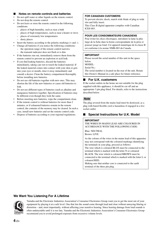#### **Notes on remote controls and batteries**

- Do not spill water or other liquids on the remote control.
- Do not drop the remote control.
- Do not leave or store the remote control in the following conditions:
	- places of high humidity, such as near a bath
	- places of high temperatures, such as near a heater or stove
	- places of extremely low temperatures
	- dusty places
- Insert the battery according to the polarity markings (+ and -).
- Change all batteries if you notice the following conditions:
	- the operation range of the remote control narrows
	- the transmit indicator does not flash or is dim
- If the batteries run out, immediately remove them from the remote control to prevent an explosion or acid leak.
- If you find leaking batteries, discard the batteries immediately, taking care not to touch the leaked material. If the leaked material comes into contact with your skin or gets into your eyes or mouth, rinse it away immediately and consult a doctor. Clean the battery compartment thoroughly before installing new batteries.
- Do not use old batteries together with new ones. This may shorten the life of the new batteries or cause old batteries to leak.
- Do not use different types of batteries (such as alkaline and manganese batteries) together. Specification of batteries may be different even though they look the same.
- Before inserting new batteries, wipe the compartment clean.
- If the remote control is without batteries for more than 2 minutes, or if exhausted batteries remain in the remote control, the contents of the memory may be cleared. In such a case, install new batteries and set the remote control code.
- Dispose of batteries according to your regional regulations.

#### **FOR CANADIAN CUSTOMERS**

To prevent electric shock, match wide blade of plug to wide slot and fully insert.

This Class B digital apparatus complies with Canadian ICES-003.

#### **POUR LES CONSOMMATEURS CANADIENS**

Pour éviter les chocs électriques, introduire la lame la plus large de la fiche dans la borne correspondante de la prise et pousser jusqu'au fond. Cet appareil numérique de la classe B est conforme à la norme NMB-003 du Canada.

#### **IMPORTANT**

Please record the serial number of this unit in the space below.

MODEL:

Serial No.:

The serial number is located on the rear of the unit. Retain this Owner's Manual in a safe place for future reference.

#### ■ **For U.K. customers**

If the socket outlets in the home are not suitable for the plug supplied with this appliance, it should be cut off and an appropriate 3 pin plug fitted. For details, refer to the instructions described below.

#### *Note*

The plug severed from the mains lead must be destroyed, as a plug with bared flexible cord is hazardous if engaged in a live socket outlet.

#### ■ **Special Instructions for U.K. Model**

#### **IMPORTANT**

THE WIRES IN MAINS LEAD ARE COLOURED IN ACCORDANCE WITH THE FOLLOWING CODE:

Blue: NEUTRAL Brown: LIVE

As the colours of the wires in the mains lead of this apparatus may not correspond with the coloured markings identifying the terminals in your plug, proceed as follows: The wire which is coloured BLUE must be connected to the terminal which is marked with the letter N or coloured BLACK. The wire which is coloured BROWN must be connected to the terminal which is marked with the letter L or coloured RED.

Making sure that neither core is connected to the earth terminal of the three pin plug.

### **We Want You Listening For A Lifetime**



Yamaha and the Electronic Industries Association's Consumer Electronics Group want you to get the most out of your equipment by playing it at a safe level. One that lets the sound come through loud and clear without annoying blaring or distortion – and, most importantly, without affecting your sensitive hearing. Since hearing damage from loud sounds is often undetectable until it is too late, Yamaha and the Electronic Industries Association's Consumer Electronics Group recommend you to avoid prolonged exposure from excessive volume levels.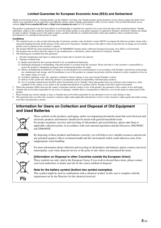### **Limited Guarantee for European Economic Area (EEA) and Switzerland**

Thank you for having chosen a Yamaha product. In the unlikely event that your Yamaha product needs guarantee service, please contact the dealer from whom it was purchased. If you experience any difficulty, please contact Yamaha representative office in your country. You can find full details on our website (**http://www.yamaha-hifi.com/** or **http://www.yamaha-uk.com/** for U.K. resident).

The product is guaranteed to be free from defects in workmanship or materials for a period of two years from the date of the original purchase. Yamaha undertakes, subject to the conditions listed below, to have the faulty product or any part(s) repaired, or replaced at Yamaha's discretion, without any charge for parts or labour. Yamaha reserves the right to replace a product with that of a similar kind and/or value and condition, where a model has been discontinued or is considered uneconomic to repair.

#### **Conditions**

- 1 The original invoice or sales receipt (showing date of purchase, product code and dealer's name) MUST accompany the defective product, along with a statement detailing the fault. In the absence of this clear proof of purchase, Yamaha reserves the right to refuse to provide free of charge service and the product may be returned at the customer's expense.
- 2 The product MUST have been purchased from an AUTHORISED Yamaha dealer within the European Economic Area (EEA) or Switzerland.<br>3 The product must not have been the subject of any modifications or alterations, unless autho
- 3 The product must not have been the subject of any modifications or alterations, unless authorised in writing by Yamaha.
- 4 The following are excluded from this guarantee:
	- a. Periodic maintenance and repair or replacement of parts due to normal wear and tear.
		- b. Damage resulting from:
		- (1) Repairs performed by the customer himself or by an unauthorised third party.
		- (2) Inadequate packaging or mishandling, when the product is in transit from the customer. Please note that it is the customer's responsibility to ensure the product is adequately packaged when returning the product for repair.
		- (3) Misuse, including but not limited to (a) failure to use the product for its normal purpose or in accordance with Yamaha's instructions on the proper use, maintenance and storage, and (b) installation or use of the product in a manner inconsistent with the technical or safety standards in force in the country where it is used.
		- (4) Accidents, lightning, water, fire, improper ventilation, battery leakage or any cause beyond Yamaha's control.
		- (5) Defects of the system into which this product is incorporated and/or incompatibility with third party products.
		- (6) Use of a product imported into the EEA and/or Switzerland, not by Yamaha, where that product does not conform to the technical or safety standards of the country of use and/or to the standard specification of a product sold by Yamaha in the EEA and/or Switzerland.
- 5 Where the guarantee differs between the country of purchase and the country of use of the product, the guarantee of the country of use shall apply.
- 6 Yamaha may not be held responsible for any losses or damages, whether direct, consequential or otherwise, save for the repair or replacement of the product.
- 7 Please backup any custom settings or data, as Yamaha may not be held responsible for any alteration or loss to such settings or data.
- 8 This guarantee does not affect the consumer's statutory rights under applicable national laws in force or the consumer's rights against the dealer arising from their sales/purchase contract.

### **Information for Users on Collection and Disposal of Old Equipment and Used Batteries**



These symbols on the products, packaging, and/or accompanying documents mean that used electrical and electronic products and batteries should not be mixed with general household waste. For proper treatment, recovery and recycling of old products and used batteries, please take them to applicable collection points, in accordance with your national legislation and the Directives 2002/96/EC and 2006/66/EC.



By disposing of these products and batteries correctly, you will help to save valuable resources and prevent any potential negative effects on human health and the environment which could otherwise arise from inappropriate waste handling.



For more information about collection and recycling of old products and batteries, please contact your local municipality, your waste disposal service or the point of sale where you purchased the items.



#### **[Information on Disposal in other Countries outside the European Union]**

These symbols are only valid in the European Union. If you wish to discard these items, please contact your local authorities or dealer and ask for the correct method of disposal.

#### **Note for the battery symbol (bottom two symbol examples):**

This symbol might be used in combination with a chemical symbol. In this case it complies with the requirement set by the Directive for the chemical involved.